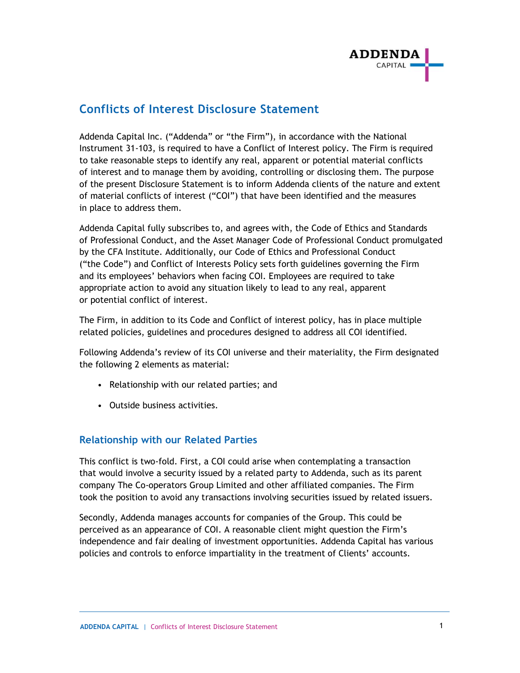

## **Conflicts of Interest Disclosure Statement**

Addenda Capital Inc. ("Addenda" or "the Firm"), in accordance with the National Instrument 31-103, is required to have a Conflict of Interest policy. The Firm is required to take reasonable steps to identify any real, apparent or potential material conflicts of interest and to manage them by avoiding, controlling or disclosing them. The purpose of the present Disclosure Statement is to inform Addenda clients of the nature and extent of material conflicts of interest ("COI") that have been identified and the measures in place to address them.

Addenda Capital fully subscribes to, and agrees with, the Code of Ethics and Standards of Professional Conduct, and the Asset Manager Code of Professional Conduct promulgated by the CFA Institute. Additionally, our Code of Ethics and Professional Conduct ("the Code") and Conflict of Interests Policy sets forth guidelines governing the Firm and its employees' behaviors when facing COI. Employees are required to take appropriate action to avoid any situation likely to lead to any real, apparent or potential conflict of interest.

The Firm, in addition to its Code and Conflict of interest policy, has in place multiple related policies, guidelines and procedures designed to address all COI identified.

Following Addenda's review of its COI universe and their materiality, the Firm designated the following 2 elements as material:

- Relationship with our related parties; and
- Outside business activities.

## **Relationship with our Related Parties**

This conflict is two-fold. First, a COI could arise when contemplating a transaction that would involve a security issued by a related party to Addenda, such as its parent company The Co-operators Group Limited and other affiliated companies. The Firm took the position to avoid any transactions involving securities issued by related issuers.

Secondly, Addenda manages accounts for companies of the Group. This could be perceived as an appearance of COI. A reasonable client might question the Firm's independence and fair dealing of investment opportunities. Addenda Capital has various policies and controls to enforce impartiality in the treatment of Clients' accounts.